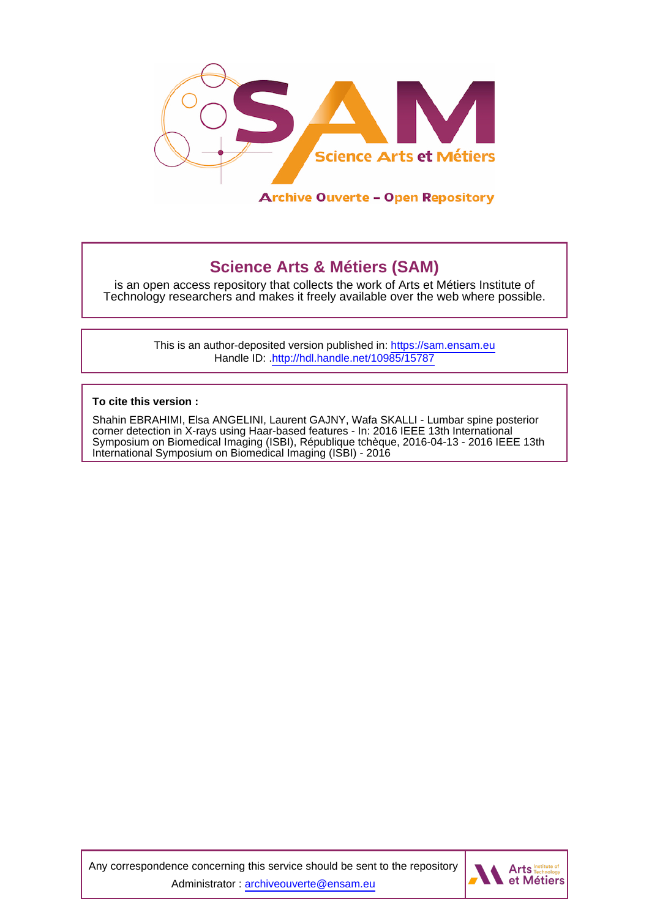

# **Science Arts & Métiers (SAM)**

is an open access repository that collects the work of Arts et Métiers Institute of Technology researchers and makes it freely available over the web where possible.

> This is an author-deposited version published in:<https://sam.ensam.eu> Handle ID: [.http://hdl.handle.net/10985/15787](http://hdl.handle.net/10985/15787)

**To cite this version :**

Shahin EBRAHIMI, Elsa ANGELINI, Laurent GAJNY, Wafa SKALLI - Lumbar spine posterior corner detection in X-rays using Haar-based features - In: 2016 IEEE 13th International Symposium on Biomedical Imaging (ISBI), République tchèque, 2016-04-13 - 2016 IEEE 13th International Symposium on Biomedical Imaging (ISBI) - 2016

Any correspondence concerning this service should be sent to the repository Administrator : [archiveouverte@ensam.eu](mailto:archiveouverte@ensam.eu)

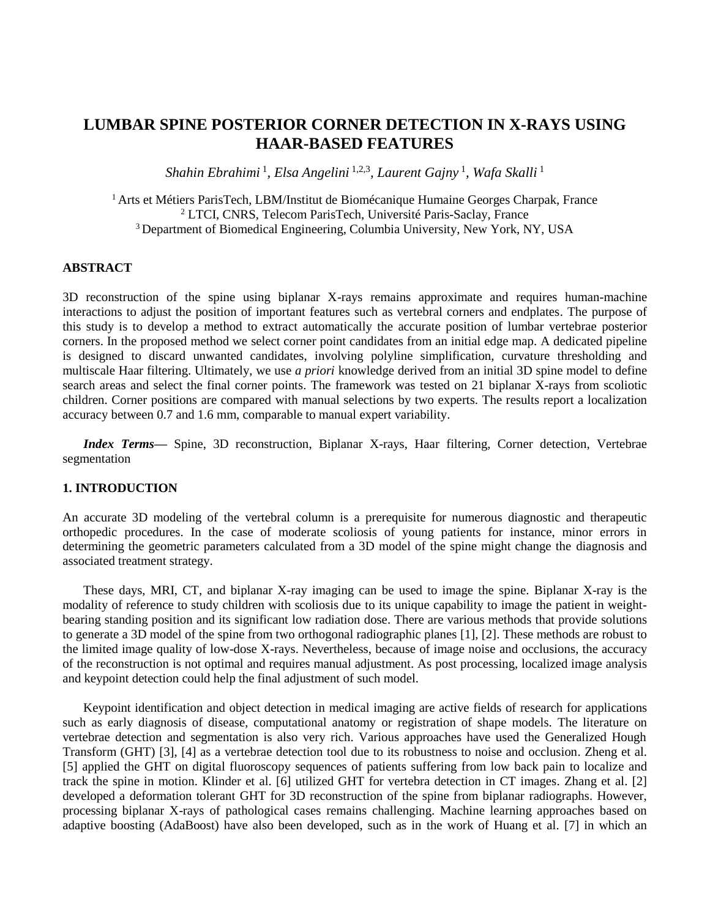# **LUMBAR SPINE POSTERIOR CORNER DETECTION IN X-RAYS USING HAAR-BASED FEATURES**

*Shahin Ebrahimi* 1 *, Elsa Angelini* 1,2,3 *, Laurent Gajny* <sup>1</sup> *, Wafa Skalli* 1

<sup>1</sup> Arts et Métiers ParisTech, LBM/Institut de Biomécanique Humaine Georges Charpak, France <sup>2</sup> LTCI, CNRS, Telecom ParisTech, Université Paris-Saclay, France <sup>3</sup> Department of Biomedical Engineering, Columbia University, New York, NY, USA

# **ABSTRACT**

3D reconstruction of the spine using biplanar X-rays remains approximate and requires human-machine interactions to adjust the position of important features such as vertebral corners and endplates. The purpose of this study is to develop a method to extract automatically the accurate position of lumbar vertebrae posterior corners. In the proposed method we select corner point candidates from an initial edge map. A dedicated pipeline is designed to discard unwanted candidates, involving polyline simplification, curvature thresholding and multiscale Haar filtering. Ultimately, we use *a priori* knowledge derived from an initial 3D spine model to define search areas and select the final corner points. The framework was tested on 21 biplanar X-rays from scoliotic children. Corner positions are compared with manual selections by two experts. The results report a localization accuracy between 0.7 and 1.6 mm, comparable to manual expert variability.

*Index Terms*— Spine, 3D reconstruction, Biplanar X-rays, Haar filtering, Corner detection, Vertebrae segmentation

# **1. INTRODUCTION**

An accurate 3D modeling of the vertebral column is a prerequisite for numerous diagnostic and therapeutic orthopedic procedures. In the case of moderate scoliosis of young patients for instance, minor errors in determining the geometric parameters calculated from a 3D model of the spine might change the diagnosis and associated treatment strategy.

These days, MRI, CT, and biplanar X-ray imaging can be used to image the spine. Biplanar X-ray is the modality of reference to study children with scoliosis due to its unique capability to image the patient in weightbearing standing position and its significant low radiation dose. There are various methods that provide solutions to generate a 3D model of the spine from two orthogonal radiographic planes [\[1\]](#page-7-0), [\[2\]](#page-7-1). These methods are robust to the limited image quality of low-dose X-rays. Nevertheless, because of image noise and occlusions, the accuracy of the reconstruction is not optimal and requires manual adjustment. As post processing, localized image analysis and keypoint detection could help the final adjustment of such model.

Keypoint identification and object detection in medical imaging are active fields of research for applications such as early diagnosis of disease, computational anatomy or registration of shape models. The literature on vertebrae detection and segmentation is also very rich. Various approaches have used the Generalized Hough Transform (GHT) [\[3\]](#page-7-2), [\[4\]](#page-7-3) as a vertebrae detection tool due to its robustness to noise and occlusion. Zheng et al. [\[5\]](#page-7-4) applied the GHT on digital fluoroscopy sequences of patients suffering from low back pain to localize and track the spine in motion. Klinder et al. [\[6\]](#page-7-5) utilized GHT for vertebra detection in CT images. Zhang et al. [\[2\]](#page-7-1) developed a deformation tolerant GHT for 3D reconstruction of the spine from biplanar radiographs. However, processing biplanar X-rays of pathological cases remains challenging. Machine learning approaches based on adaptive boosting (AdaBoost) have also been developed, such as in the work of Huang et al. [\[7\]](#page-8-0) in which an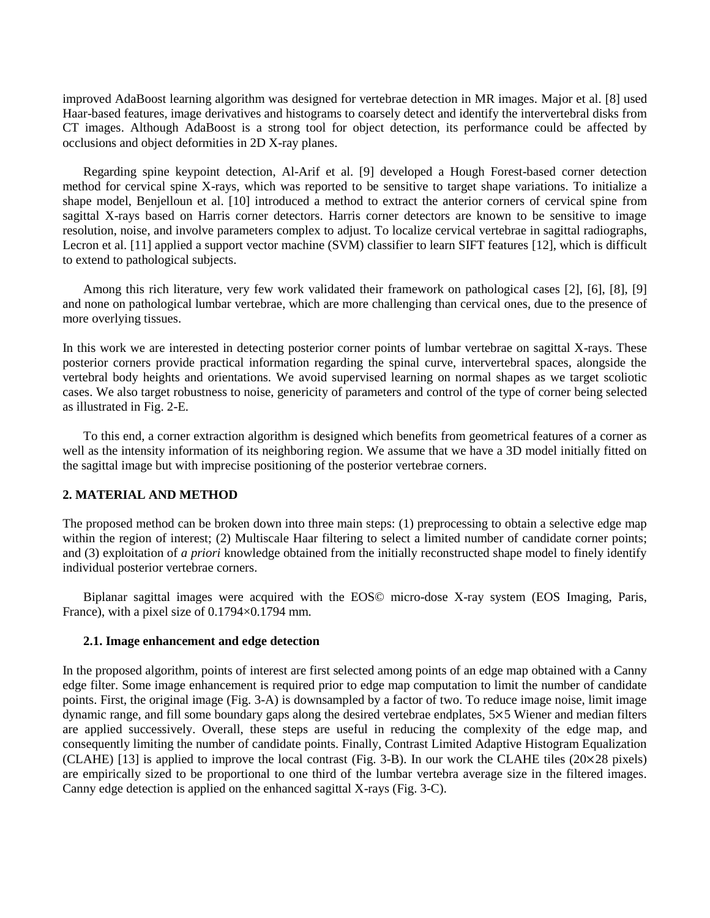improved AdaBoost learning algorithm was designed for vertebrae detection in MR images. Major et al. [\[8\]](#page-8-1) used Haar-based features, image derivatives and histograms to coarsely detect and identify the intervertebral disks from CT images. Although AdaBoost is a strong tool for object detection, its performance could be affected by occlusions and object deformities in 2D X-ray planes.

Regarding spine keypoint detection, Al-Arif et al. [\[9\]](#page-8-2) developed a Hough Forest-based corner detection method for cervical spine X-rays, which was reported to be sensitive to target shape variations. To initialize a shape model, Benjelloun et al. [\[10\]](#page-8-3) introduced a method to extract the anterior corners of cervical spine from sagittal X-rays based on Harris corner detectors. Harris corner detectors are known to be sensitive to image resolution, noise, and involve parameters complex to adjust. To localize cervical vertebrae in sagittal radiographs, Lecron et al. [\[11\]](#page-8-4) applied a support vector machine (SVM) classifier to learn SIFT features [\[12\]](#page-8-5), which is difficult to extend to pathological subjects.

Among this rich literature, very few work validated their framework on pathological cases [\[2\]](#page-7-1), [\[6\]](#page-7-5), [\[8\]](#page-8-1), [\[9\]](#page-8-2) and none on pathological lumbar vertebrae, which are more challenging than cervical ones, due to the presence of more overlying tissues.

In this work we are interested in detecting posterior corner points of lumbar vertebrae on sagittal X-rays. These posterior corners provide practical information regarding the spinal curve, intervertebral spaces, alongside the vertebral body heights and orientations. We avoid supervised learning on normal shapes as we target scoliotic cases. We also target robustness to noise, genericity of parameters and control of the type of corner being selected as illustrated in Fig. 2-E.

To this end, a corner extraction algorithm is designed which benefits from geometrical features of a corner as well as the intensity information of its neighboring region. We assume that we have a 3D model initially fitted on the sagittal image but with imprecise positioning of the posterior vertebrae corners.

#### **2. MATERIAL AND METHOD**

The proposed method can be broken down into three main steps: (1) preprocessing to obtain a selective edge map within the region of interest; (2) Multiscale Haar filtering to select a limited number of candidate corner points; and (3) exploitation of *a priori* knowledge obtained from the initially reconstructed shape model to finely identify individual posterior vertebrae corners.

Biplanar sagittal images were acquired with the EOS© micro-dose X-ray system (EOS Imaging, Paris, France), with a pixel size of 0.1794×0.1794 mm.

#### **2.1. Image enhancement and edge detection**

In the proposed algorithm, points of interest are first selected among points of an edge map obtained with a Canny edge filter. Some image enhancement is required prior to edge map computation to limit the number of candidate points. First, the original image (Fig. 3-A) is downsampled by a factor of two. To reduce image noise, limit image dynamic range, and fill some boundary gaps along the desired vertebrae endplates, 5×5 Wiener and median filters are applied successively. Overall, these steps are useful in reducing the complexity of the edge map, and consequently limiting the number of candidate points. Finally, Contrast Limited Adaptive Histogram Equalization (CLAHE) [\[13\]](#page-8-6) is applied to improve the local contrast (Fig. 3-B). In our work the CLAHE tiles (20×28 pixels) are empirically sized to be proportional to one third of the lumbar vertebra average size in the filtered images. Canny edge detection is applied on the enhanced sagittal X-rays (Fig. 3-C).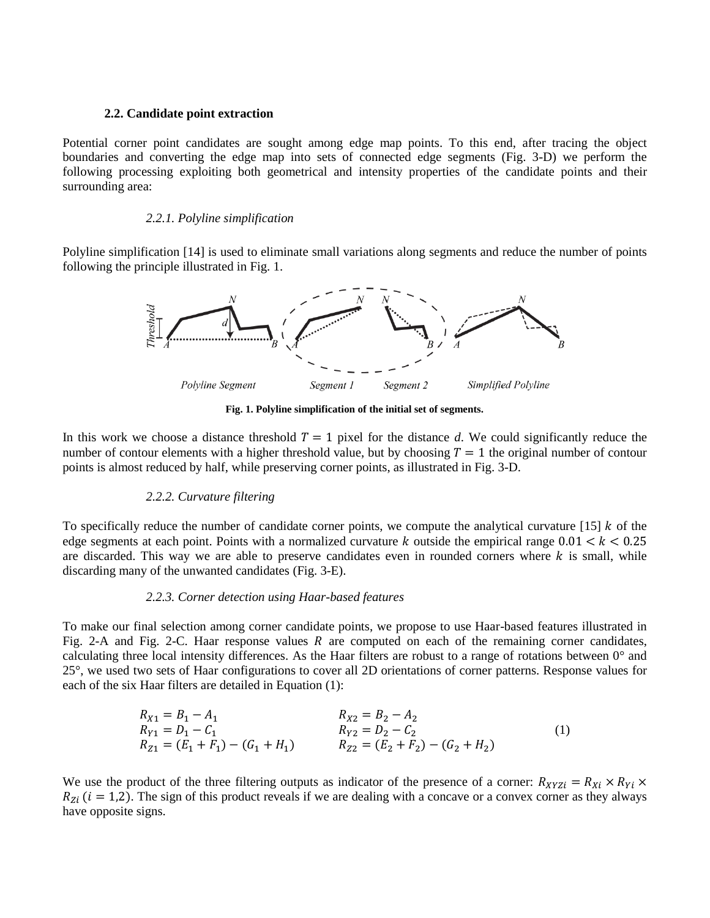#### **2.2. Candidate point extraction**

Potential corner point candidates are sought among edge map points. To this end, after tracing the object boundaries and converting the edge map into sets of connected edge segments (Fig. 3-D) we perform the following processing exploiting both geometrical and intensity properties of the candidate points and their surrounding area:

#### *2.2.1. Polyline simplification*

Polyline simplification [\[14\]](#page-8-7) is used to eliminate small variations along segments and reduce the number of points following the principle illustrated in Fig. 1.



**Fig. 1. Polyline simplification of the initial set of segments.**

In this work we choose a distance threshold  $T = 1$  pixel for the distance d. We could significantly reduce the number of contour elements with a higher threshold value, but by choosing  $T = 1$  the original number of contour points is almost reduced by half, while preserving corner points, as illustrated in Fig. 3-D.

# *2.2.2. Curvature filtering*

To specifically reduce the number of candidate corner points, we compute the analytical curvature  $[15]$  k of the edge segments at each point. Points with a normalized curvature k outside the empirical range  $0.01 < k < 0.25$ are discarded. This way we are able to preserve candidates even in rounded corners where  $k$  is small, while discarding many of the unwanted candidates (Fig. 3-E).

# *2.2.3. Corner detection using Haar-based features*

To make our final selection among corner candidate points, we propose to use Haar-based features illustrated in Fig. 2-A and Fig. 2-C. Haar response values R are computed on each of the remaining corner candidates, calculating three local intensity differences. As the Haar filters are robust to a range of rotations between  $0^{\circ}$  and 25°, we used two sets of Haar configurations to cover all 2D orientations of corner patterns. Response values for each of the six Haar filters are detailed in Equation [\(1\)](#page-3-0):

<span id="page-3-0"></span>
$$
R_{X1} = B_1 - A_1
$$
  
\n
$$
R_{Y1} = D_1 - C_1
$$
  
\n
$$
R_{X2} = B_2 - A_2
$$
  
\n
$$
R_{Y2} = D_2 - C_2
$$
  
\n
$$
R_{Z1} = (E_1 + F_1) - (G_1 + H_1)
$$
  
\n
$$
R_{Z2} = (E_2 + F_2) - (G_2 + H_2)
$$
  
\n(1)

We use the product of the three filtering outputs as indicator of the presence of a corner:  $R_{XYZ} = R_{Xi} \times R_{Yi} \times R_{Yi}$  $R_{Z_i}$  ( $i = 1,2$ ). The sign of this product reveals if we are dealing with a concave or a convex corner as they always have opposite signs.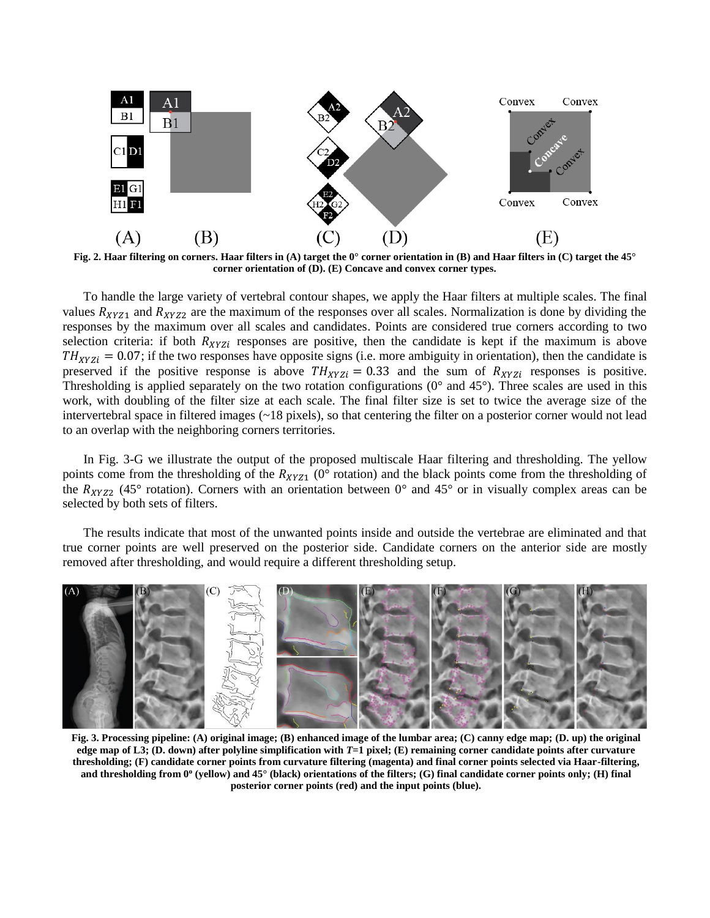

**Fig. 2. Haar filtering on corners. Haar filters in (A) target the 0° corner orientation in (B) and Haar filters in (C) target the 45° corner orientation of (D). (E) Concave and convex corner types.**

To handle the large variety of vertebral contour shapes, we apply the Haar filters at multiple scales. The final values  $R_{XYZ1}$  and  $R_{XYZ2}$  are the maximum of the responses over all scales. Normalization is done by dividing the responses by the maximum over all scales and candidates. Points are considered true corners according to two selection criteria: if both  $R_{XYZ}$  responses are positive, then the candidate is kept if the maximum is above  $TH_{XYZI} = 0.07$ ; if the two responses have opposite signs (i.e. more ambiguity in orientation), then the candidate is preserved if the positive response is above  $TH_{XYZ} = 0.33$  and the sum of  $R_{XYZ}$  responses is positive. Thresholding is applied separately on the two rotation configurations  $(0^{\circ}$  and  $45^{\circ})$ . Three scales are used in this work, with doubling of the filter size at each scale. The final filter size is set to twice the average size of the intervertebral space in filtered images (~18 pixels), so that centering the filter on a posterior corner would not lead to an overlap with the neighboring corners territories.

In Fig. 3-G we illustrate the output of the proposed multiscale Haar filtering and thresholding. The yellow points come from the thresholding of the  $R_{XYZ1}$  (0° rotation) and the black points come from the thresholding of the  $R_{XYZ2}$  (45° rotation). Corners with an orientation between 0° and 45° or in visually complex areas can be selected by both sets of filters.

The results indicate that most of the unwanted points inside and outside the vertebrae are eliminated and that true corner points are well preserved on the posterior side. Candidate corners on the anterior side are mostly removed after thresholding, and would require a different thresholding setup.



**Fig. 3. Processing pipeline: (A) original image; (B) enhanced image of the lumbar area; (C) canny edge map; (D. up) the original edge map of L3; (D. down) after polyline simplification with** *T***=1 pixel; (E) remaining corner candidate points after curvature thresholding; (F) candidate corner points from curvature filtering (magenta) and final corner points selected via Haar-filtering, and thresholding from 0<sup>o</sup> (yellow) and 45° (black) orientations of the filters; (G) final candidate corner points only; (H) final posterior corner points (red) and the input points (blue).**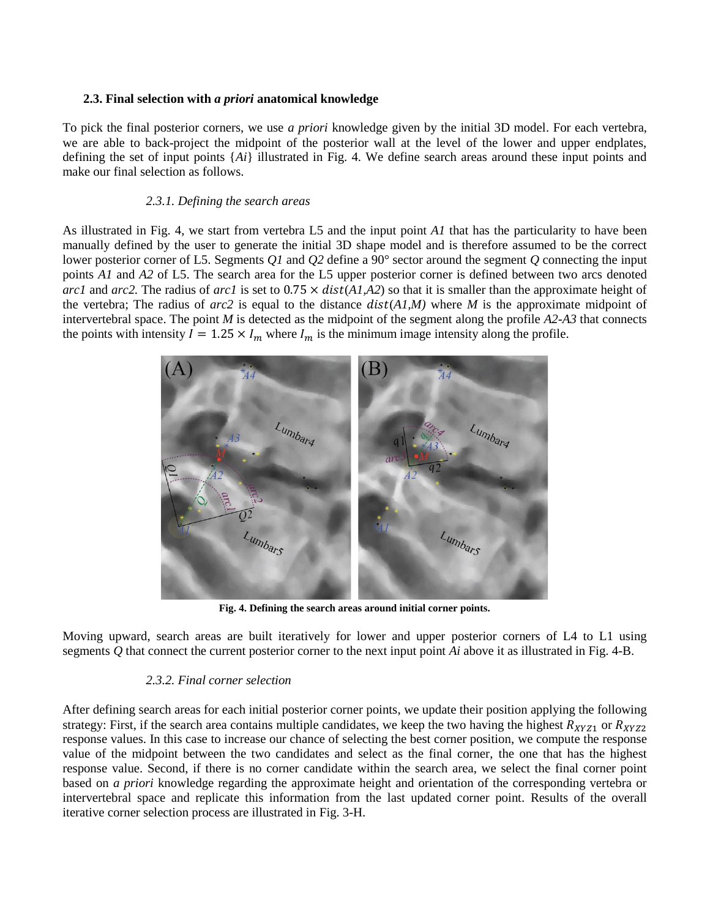# **2.3. Final selection with** *a priori* **anatomical knowledge**

To pick the final posterior corners, we use *a priori* knowledge given by the initial 3D model. For each vertebra, we are able to back-project the midpoint of the posterior wall at the level of the lower and upper endplates, defining the set of input points {*Ai*} illustrated in Fig. 4. We define search areas around these input points and make our final selection as follows.

# *2.3.1. Defining the search areas*

As illustrated in Fig. 4, we start from vertebra L5 and the input point *A1* that has the particularity to have been manually defined by the user to generate the initial 3D shape model and is therefore assumed to be the correct lower posterior corner of L5. Segments *Q1* and *Q2* define a 90° sector around the segment *Q* connecting the input points *A1* and *A2* of L5. The search area for the L5 upper posterior corner is defined between two arcs denoted *arc1* and *arc2*. The radius of *arc1* is set to  $0.75 \times dist(A1, A2)$  so that it is smaller than the approximate height of the vertebra; The radius of  $arc2$  is equal to the distance  $dist(A/M)$  where M is the approximate midpoint of intervertebral space. The point *M* is detected as the midpoint of the segment along the profile *A2-A3* that connects the points with intensity  $I = 1.25 \times I_m$  where  $I_m$  is the minimum image intensity along the profile.



**Fig. 4. Defining the search areas around initial corner points.**

Moving upward, search areas are built iteratively for lower and upper posterior corners of L4 to L1 using segments *Q* that connect the current posterior corner to the next input point *Ai* above it as illustrated in Fig. 4-B.

#### *2.3.2. Final corner selection*

After defining search areas for each initial posterior corner points, we update their position applying the following strategy: First, if the search area contains multiple candidates, we keep the two having the highest  $R_{XYZ1}$  or  $R_{XYZ2}$ response values. In this case to increase our chance of selecting the best corner position, we compute the response value of the midpoint between the two candidates and select as the final corner, the one that has the highest response value. Second, if there is no corner candidate within the search area, we select the final corner point based on *a priori* knowledge regarding the approximate height and orientation of the corresponding vertebra or intervertebral space and replicate this information from the last updated corner point. Results of the overall iterative corner selection process are illustrated in Fig. 3-H.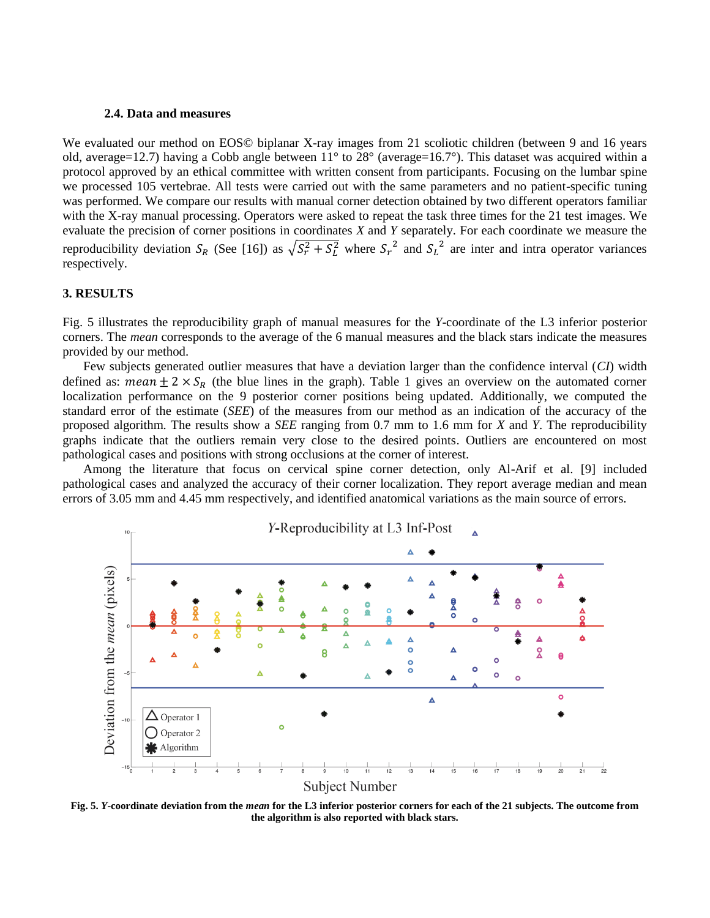#### **2.4. Data and measures**

We evaluated our method on EOS© biplanar X-ray images from 21 scoliotic children (between 9 and 16 years old, average=12.7) having a Cobb angle between 11° to 28° (average=16.7°). This dataset was acquired within a protocol approved by an ethical committee with written consent from participants. Focusing on the lumbar spine we processed 105 vertebrae. All tests were carried out with the same parameters and no patient-specific tuning was performed. We compare our results with manual corner detection obtained by two different operators familiar with the X-ray manual processing. Operators were asked to repeat the task three times for the 21 test images. We evaluate the precision of corner positions in coordinates *X* and *Y* separately. For each coordinate we measure the reproducibility deviation  $S_R$  (See [\[16\]](#page-8-9)) as  $\sqrt{S_r^2 + S_L^2}$  where  $S_r^2$  and  $S_L^2$  are inter and intra operator variances respectively.

# **3. RESULTS**

Fig. 5 illustrates the reproducibility graph of manual measures for the *Y*-coordinate of the L3 inferior posterior corners. The *mean* corresponds to the average of the 6 manual measures and the black stars indicate the measures provided by our method.

Few subjects generated outlier measures that have a deviation larger than the confidence interval (*CI*) width defined as: mean  $\pm 2 \times S_R$  (the blue lines in the graph). Table 1 gives an overview on the automated corner localization performance on the 9 posterior corner positions being updated. Additionally, we computed the standard error of the estimate (*SEE*) of the measures from our method as an indication of the accuracy of the proposed algorithm. The results show a *SEE* ranging from 0.7 mm to 1.6 mm for *X* and *Y*. The reproducibility graphs indicate that the outliers remain very close to the desired points. Outliers are encountered on most pathological cases and positions with strong occlusions at the corner of interest.

Among the literature that focus on cervical spine corner detection, only Al-Arif et al. [\[9\]](#page-8-2) included pathological cases and analyzed the accuracy of their corner localization. They report average median and mean errors of 3.05 mm and 4.45 mm respectively, and identified anatomical variations as the main source of errors.



**Fig. 5.** *Y***-coordinate deviation from the** *mean* **for the L3 inferior posterior corners for each of the 21 subjects. The outcome from the algorithm is also reported with black stars.**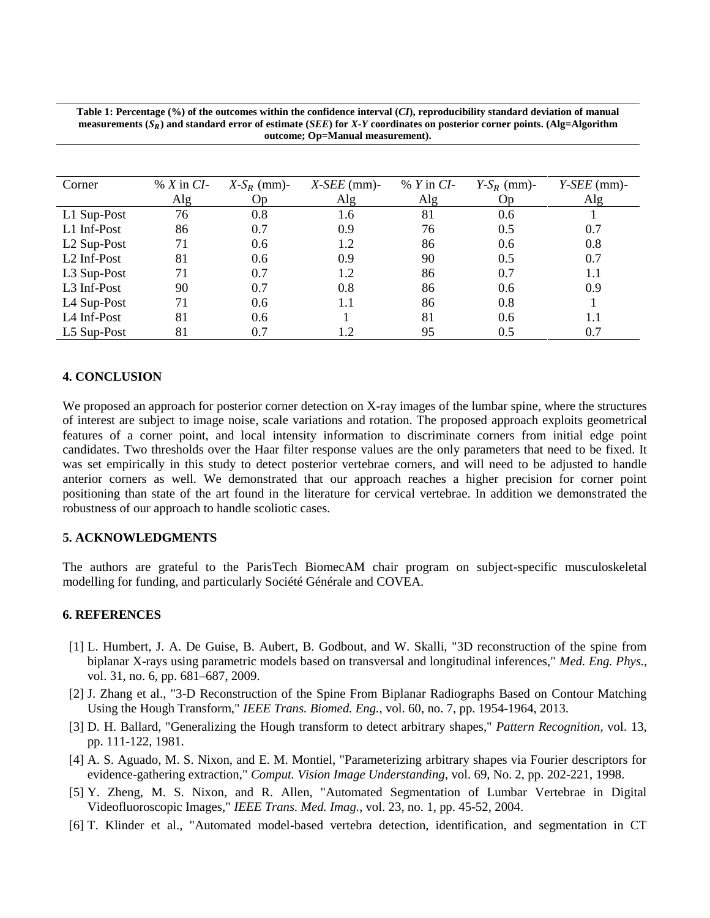| Corner                  | $\% X$ in CI- | $X-S_R$ (mm)- | $X$ -SEE (mm)- | $\%$ Y in CI- | $Y-S_R$ (mm)- | $Y-SEE$ (mm)- |
|-------------------------|---------------|---------------|----------------|---------------|---------------|---------------|
|                         | Alg           | Op            | Alg            | Alg           | Op            | Alg           |
| L1 Sup-Post             | 76            | 0.8           | 1.6            | 81            | 0.6           |               |
| L1 Inf-Post             | 86            | 0.7           | 0.9            | 76            | 0.5           | 0.7           |
| L <sub>2</sub> Sup-Post | 71            | 0.6           | 1.2            | 86            | 0.6           | 0.8           |
| L <sub>2</sub> Inf-Post | 81            | 0.6           | 0.9            | 90            | 0.5           | 0.7           |
| L3 Sup-Post             | 71            | 0.7           | 1.2            | 86            | 0.7           | $1.1\,$       |
| L <sub>3</sub> Inf-Post | 90            | 0.7           | 0.8            | 86            | 0.6           | 0.9           |
| L4 Sup-Post             | 71            | 0.6           | 1.1            | 86            | 0.8           |               |
| L4 Inf-Post             | 81            | 0.6           |                | 81            | 0.6           | $1.1\,$       |
| L5 Sup-Post             | 81            | 0.7           | 1.2            | 95            | 0.5           | 0.7           |

**Table 1: Percentage (%) of the outcomes within the confidence interval (***CI***), reproducibility standard deviation of manual measurements**  $(S_R)$  **and standard error of estimate (***SEE***) for** *X***-***Y* **coordinates on posterior corner points. (Alg=Algorithm outcome; Op=Manual measurement).**

#### **4. CONCLUSION**

We proposed an approach for posterior corner detection on X-ray images of the lumbar spine, where the structures of interest are subject to image noise, scale variations and rotation. The proposed approach exploits geometrical features of a corner point, and local intensity information to discriminate corners from initial edge point candidates. Two thresholds over the Haar filter response values are the only parameters that need to be fixed. It was set empirically in this study to detect posterior vertebrae corners, and will need to be adjusted to handle anterior corners as well. We demonstrated that our approach reaches a higher precision for corner point positioning than state of the art found in the literature for cervical vertebrae. In addition we demonstrated the robustness of our approach to handle scoliotic cases.

# **5. ACKNOWLEDGMENTS**

The authors are grateful to the ParisTech BiomecAM chair program on subject-specific musculoskeletal modelling for funding, and particularly Société Générale and COVEA.

#### **6. REFERENCES**

- <span id="page-7-0"></span>[1] L. Humbert, J. A. De Guise, B. Aubert, B. Godbout, and W. Skalli, "3D reconstruction of the spine from biplanar X-rays using parametric models based on transversal and longitudinal inferences," *Med. Eng. Phys.*, vol. 31, no. 6, pp. 681–687, 2009.
- <span id="page-7-1"></span>[2] J. Zhang et al., "3-D Reconstruction of the Spine From Biplanar Radiographs Based on Contour Matching Using the Hough Transform," *IEEE Trans. Biomed. Eng.*, vol. 60, no. 7, pp. 1954-1964, 2013.
- <span id="page-7-2"></span>[3] D. H. Ballard, "Generalizing the Hough transform to detect arbitrary shapes," *Pattern Recognition*, vol. 13, pp. 111-122, 1981.
- <span id="page-7-3"></span>[4] A. S. Aguado, M. S. Nixon, and E. M. Montiel, "Parameterizing arbitrary shapes via Fourier descriptors for evidence-gathering extraction," *Comput. Vision Image Understanding*, vol. 69, No. 2, pp. 202-221, 1998.
- <span id="page-7-4"></span>[5] Y. Zheng, M. S. Nixon, and R. Allen, "Automated Segmentation of Lumbar Vertebrae in Digital Videofluoroscopic Images," *IEEE Trans. Med. Imag.*, vol. 23, no. 1, pp. 45-52, 2004.
- <span id="page-7-5"></span>[6] T. Klinder et al., "Automated model-based vertebra detection, identification, and segmentation in CT